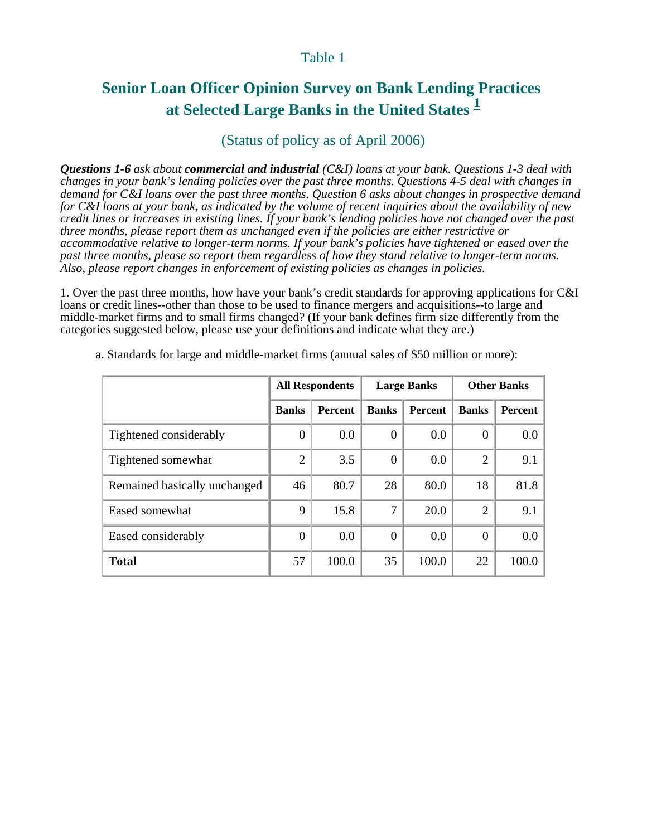## Table 1

# **Senior Loan Officer Opinion Survey on Bank Lending Practices at Selected Large Banks in the United States <sup>1</sup>**

# (Status of policy as of April 2006)

*Questions 1-6 ask about commercial and industrial (C&I) loans at your bank. Questions 1-3 deal with changes in your bank's lending policies over the past three months. Questions 4-5 deal with changes in demand for C&I loans over the past three months. Question 6 asks about changes in prospective demand for C&I loans at your bank, as indicated by the volume of recent inquiries about the availability of new credit lines or increases in existing lines. If your bank's lending policies have not changed over the past three months, please report them as unchanged even if the policies are either restrictive or accommodative relative to longer-term norms. If your bank's policies have tightened or eased over the past three months, please so report them regardless of how they stand relative to longer-term norms. Also, please report changes in enforcement of existing policies as changes in policies.*

1. Over the past three months, how have your bank's credit standards for approving applications for C&I loans or credit lines--other than those to be used to finance mergers and acquisitions--to large and middle-market firms and to small firms changed? (If your bank defines firm size differently from the categories suggested below, please use your definitions and indicate what they are.)

|                              | <b>All Respondents</b> |                |                | <b>Large Banks</b> | <b>Other Banks</b> |         |  |
|------------------------------|------------------------|----------------|----------------|--------------------|--------------------|---------|--|
|                              | <b>Banks</b>           | <b>Percent</b> | <b>Banks</b>   | <b>Percent</b>     | <b>Banks</b>       | Percent |  |
| Tightened considerably       | $\theta$               | 0.0            | $\overline{0}$ | 0.0                | $\Omega$           | $0.0\,$ |  |
| Tightened somewhat           | $\overline{2}$         | 3.5            | $\theta$       | 0.0                | $\overline{2}$     | 9.1     |  |
| Remained basically unchanged | 46                     | 80.7           | 28             | 80.0               | 18                 | 81.8    |  |
| Eased somewhat               | 9                      | 15.8           | 7              | 20.0               | 2                  | 9.1     |  |
| Eased considerably           | $\theta$               | 0.0            | $\Omega$       | 0.0                | $\theta$           | $0.0\,$ |  |
| <b>Total</b>                 | 57                     | 100.0          | 35             | 100.0              | 22                 | 100.0   |  |

a. Standards for large and middle-market firms (annual sales of \$50 million or more):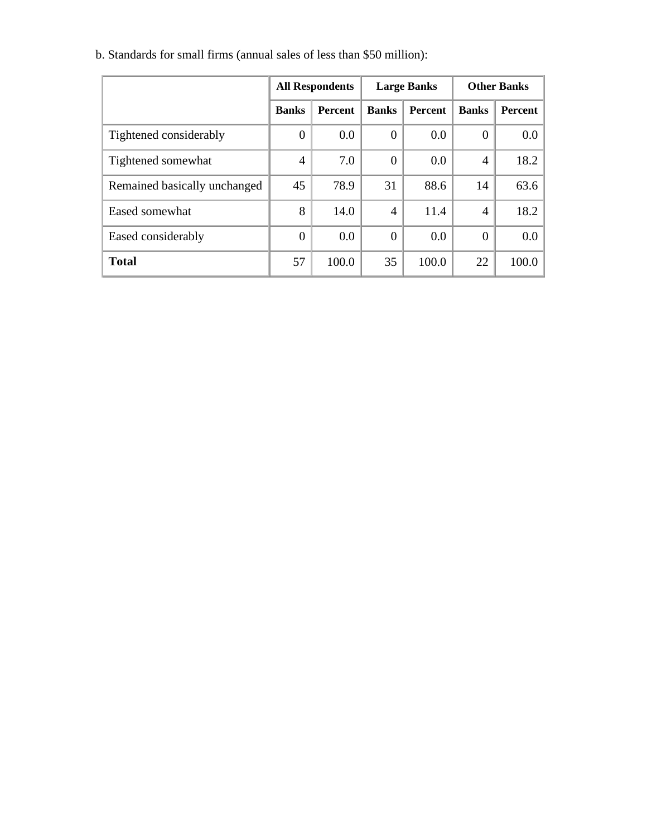|                              | <b>All Respondents</b> |                |                | <b>Large Banks</b> | <b>Other Banks</b> |         |  |
|------------------------------|------------------------|----------------|----------------|--------------------|--------------------|---------|--|
|                              | <b>Banks</b>           | <b>Percent</b> | <b>Banks</b>   | <b>Percent</b>     | <b>Banks</b>       | Percent |  |
| Tightened considerably       | $\Omega$               | 0.0            | $\theta$       | 0.0                | $\theta$           | 0.0     |  |
| Tightened somewhat           | $\overline{4}$         | 7.0            | $\Omega$       | 0.0                | $\overline{4}$     | 18.2    |  |
| Remained basically unchanged | 45                     | 78.9           | 31             | 88.6               | 14                 | 63.6    |  |
| Eased somewhat               | 8                      | 14.0           | $\overline{4}$ | 11.4               | 4                  | 18.2    |  |
| Eased considerably           | $\overline{0}$         | 0.0            | $\Omega$       | 0.0                | $\Omega$           | 0.0     |  |
| <b>Total</b>                 | 57                     | 100.0          | 35             | 100.0              | 22                 | 100.0   |  |

b. Standards for small firms (annual sales of less than \$50 million):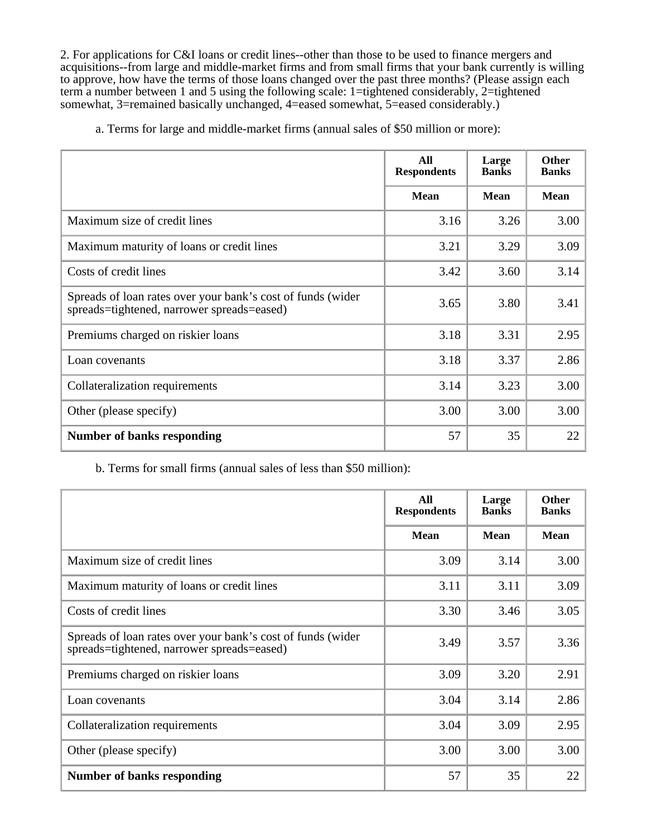2. For applications for C&I loans or credit lines--other than those to be used to finance mergers and acquisitions--from large and middle-market firms and from small firms that your bank currently is willing to approve, how have the terms of those loans changed over the past three months? (Please assign each term a number between 1 and 5 using the following scale: 1=tightened considerably, 2=tightened somewhat, 3=remained basically unchanged, 4=eased somewhat, 5=eased considerably.)

a. Terms for large and middle-market firms (annual sales of \$50 million or more):

|                                                                                                           | All<br><b>Respondents</b> | Large<br><b>Banks</b> | <b>Other</b><br><b>Banks</b> |
|-----------------------------------------------------------------------------------------------------------|---------------------------|-----------------------|------------------------------|
|                                                                                                           | <b>Mean</b>               | <b>Mean</b>           | <b>Mean</b>                  |
| Maximum size of credit lines                                                                              | 3.16                      | 3.26                  | 3.00                         |
| Maximum maturity of loans or credit lines                                                                 | 3.21                      | 3.29                  | 3.09                         |
| Costs of credit lines                                                                                     | 3.42                      | 3.60                  | 3.14                         |
| Spreads of loan rates over your bank's cost of funds (wider<br>spreads=tightened, narrower spreads=eased) | 3.65                      | 3.80                  | 3.41                         |
| Premiums charged on riskier loans                                                                         | 3.18                      | 3.31                  | 2.95                         |
| Loan covenants                                                                                            | 3.18                      | 3.37                  | 2.86                         |
| Collateralization requirements                                                                            | 3.14                      | 3.23                  | 3.00                         |
| Other (please specify)                                                                                    | 3.00                      | 3.00                  | 3.00                         |
| <b>Number of banks responding</b>                                                                         | 57                        | 35                    | 22                           |

#### b. Terms for small firms (annual sales of less than \$50 million):

|                                                                                                           | All<br><b>Respondents</b> | Large<br><b>Banks</b> | Other<br><b>Banks</b> |
|-----------------------------------------------------------------------------------------------------------|---------------------------|-----------------------|-----------------------|
|                                                                                                           | <b>Mean</b>               | <b>Mean</b>           | <b>Mean</b>           |
| Maximum size of credit lines                                                                              | 3.09                      | 3.14                  | 3.00                  |
| Maximum maturity of loans or credit lines                                                                 | 3.11                      | 3.11                  | 3.09                  |
| Costs of credit lines                                                                                     | 3.30                      | 3.46                  | 3.05                  |
| Spreads of loan rates over your bank's cost of funds (wider<br>spreads=tightened, narrower spreads=eased) | 3.49                      | 3.57                  | 3.36                  |
| Premiums charged on riskier loans                                                                         | 3.09                      | 3.20                  | 2.91                  |
| Loan covenants                                                                                            | 3.04                      | 3.14                  | 2.86                  |
| Collateralization requirements                                                                            | 3.04                      | 3.09                  | 2.95                  |
| Other (please specify)                                                                                    | 3.00                      | 3.00                  | 3.00                  |
| <b>Number of banks responding</b>                                                                         | 57                        | 35                    | 22                    |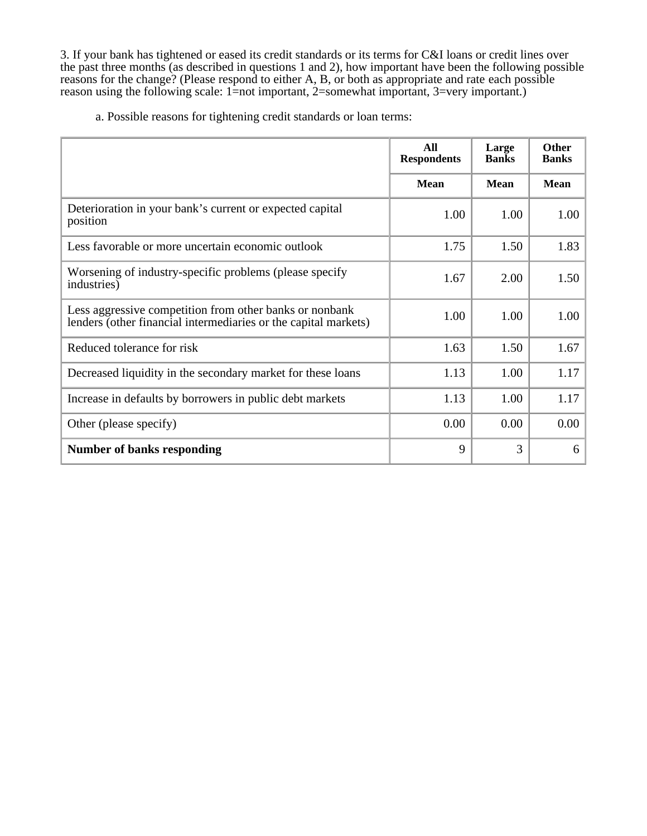3. If your bank has tightened or eased its credit standards or its terms for C&I loans or credit lines over the past three months (as described in questions 1 and 2), how important have been the following possible reasons for the change? (Please respond to either A, B, or both as appropriate and rate each possible reason using the following scale: 1=not important, 2=somewhat important, 3=very important.)

a. Possible reasons for tightening credit standards or loan terms:

|                                                                                                                            | All<br><b>Respondents</b> | Large<br><b>Banks</b> | <b>Other</b><br><b>Banks</b> |
|----------------------------------------------------------------------------------------------------------------------------|---------------------------|-----------------------|------------------------------|
|                                                                                                                            | <b>Mean</b>               | <b>Mean</b>           | <b>Mean</b>                  |
| Deterioration in your bank's current or expected capital<br>position                                                       | 1.00                      | 1.00                  | 1.00                         |
| Less favorable or more uncertain economic outlook                                                                          | 1.75                      | 1.50                  | 1.83                         |
| Worsening of industry-specific problems (please specify<br>industries)                                                     | 1.67                      | 2.00                  | 1.50                         |
| Less aggressive competition from other banks or nonbank<br>lenders (other financial intermediaries or the capital markets) | 1.00                      | 1.00                  | 1.00                         |
| Reduced tolerance for risk                                                                                                 | 1.63                      | 1.50                  | 1.67                         |
| Decreased liquidity in the secondary market for these loans                                                                | 1.13                      | 1.00                  | 1.17                         |
| Increase in defaults by borrowers in public debt markets                                                                   | 1.13                      | 1.00                  | 1.17                         |
| Other (please specify)                                                                                                     | 0.00                      | 0.00                  | 0.00                         |
| <b>Number of banks responding</b>                                                                                          | 9                         | 3                     | 6                            |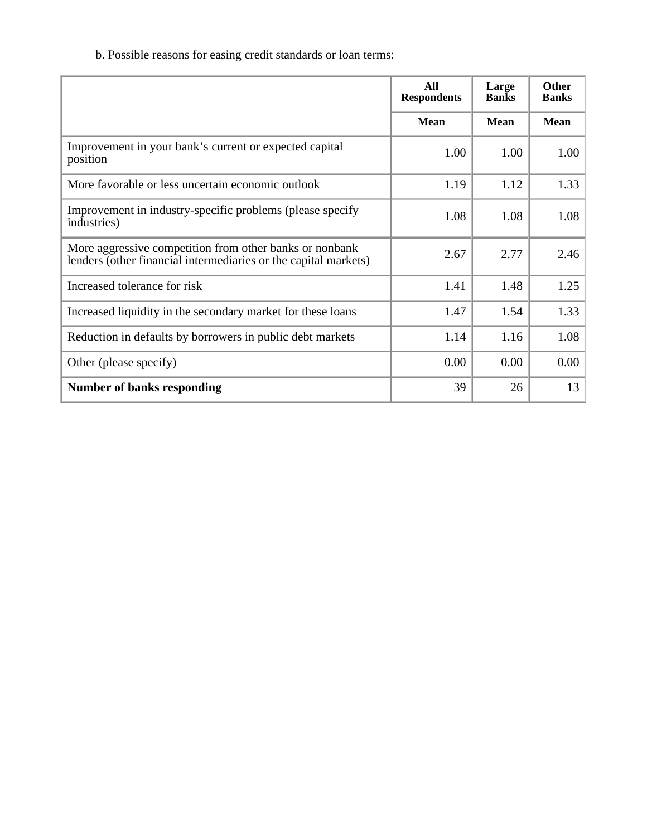b. Possible reasons for easing credit standards or loan terms:

|                                                                                                                            | All<br><b>Respondents</b> | Large<br><b>Banks</b> | <b>Other</b><br><b>Banks</b> |
|----------------------------------------------------------------------------------------------------------------------------|---------------------------|-----------------------|------------------------------|
|                                                                                                                            | <b>Mean</b>               | <b>Mean</b>           | <b>Mean</b>                  |
| Improvement in your bank's current or expected capital<br>position                                                         | 1.00                      | 1.00                  | 1.00                         |
| More favorable or less uncertain economic outlook                                                                          | 1.19                      | 1.12                  | 1.33                         |
| Improvement in industry-specific problems (please specify<br>industries)                                                   | 1.08                      | 1.08                  | 1.08                         |
| More aggressive competition from other banks or nonbank<br>lenders (other financial intermediaries or the capital markets) | 2.67                      | 2.77                  | 2.46                         |
| Increased tolerance for risk                                                                                               | 1.41                      | 1.48                  | 1.25                         |
| Increased liquidity in the secondary market for these loans                                                                | 1.47                      | 1.54                  | 1.33                         |
| Reduction in defaults by borrowers in public debt markets                                                                  | 1.14                      | 1.16                  | 1.08                         |
| Other (please specify)                                                                                                     | 0.00                      | 0.00                  | 0.00                         |
| <b>Number of banks responding</b>                                                                                          | 39                        | 26                    | 13                           |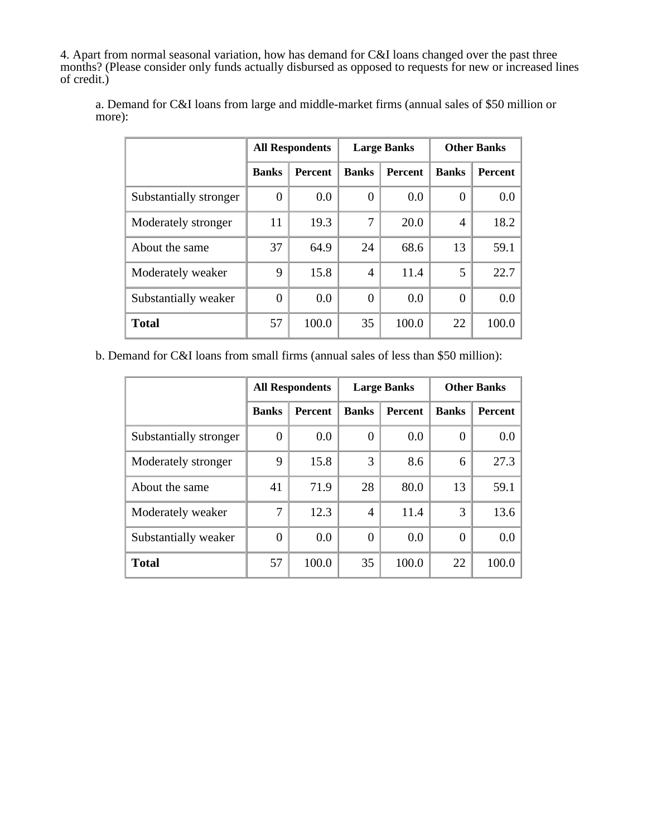4. Apart from normal seasonal variation, how has demand for C&I loans changed over the past three months? (Please consider only funds actually disbursed as opposed to requests for new or increased lines of credit.)

|                        | <b>All Respondents</b> |                | <b>Large Banks</b> |                | <b>Other Banks</b> |                |
|------------------------|------------------------|----------------|--------------------|----------------|--------------------|----------------|
|                        | <b>Banks</b>           | <b>Percent</b> | <b>Banks</b>       | <b>Percent</b> | <b>Banks</b>       | <b>Percent</b> |
| Substantially stronger | 0                      | 0.0            | 0                  | 0.0            | $\Omega$           | 0.0            |
| Moderately stronger    | 11                     | 19.3           | 7                  | 20.0           | $\overline{4}$     | 18.2           |
| About the same         | 37                     | 64.9           | 24                 | 68.6           | 13                 | 59.1           |
| Moderately weaker      | 9                      | 15.8           | 4                  | 11.4           | 5                  | 22.7           |
| Substantially weaker   | 0                      | 0.0            | 0                  | 0.0            | $\Omega$           | 0.0            |
| <b>Total</b>           | 57                     | 100.0          | 35                 | 100.0          | 22                 | 100.0          |

a. Demand for C&I loans from large and middle-market firms (annual sales of \$50 million or more):

b. Demand for C&I loans from small firms (annual sales of less than \$50 million):

|                        | <b>All Respondents</b> |                | <b>Large Banks</b> |                | <b>Other Banks</b> |                |
|------------------------|------------------------|----------------|--------------------|----------------|--------------------|----------------|
|                        | <b>Banks</b>           | <b>Percent</b> | <b>Banks</b>       | <b>Percent</b> | <b>Banks</b>       | <b>Percent</b> |
| Substantially stronger | 0                      | 0.0            | $\theta$           | 0.0            | 0                  | 0.0            |
| Moderately stronger    | 9                      | 15.8           | 3                  | 8.6            | 6                  | 27.3           |
| About the same         | 41                     | 71.9           | 28                 | 80.0           | 13                 | 59.1           |
| Moderately weaker      | 7                      | 12.3           | $\overline{4}$     | 11.4           | 3                  | 13.6           |
| Substantially weaker   | $\Omega$               | 0.0            | $\theta$           | 0.0            | 0                  | 0.0            |
| <b>Total</b>           | 57                     | 100.0          | 35                 | 100.0          | 22                 | 100.0          |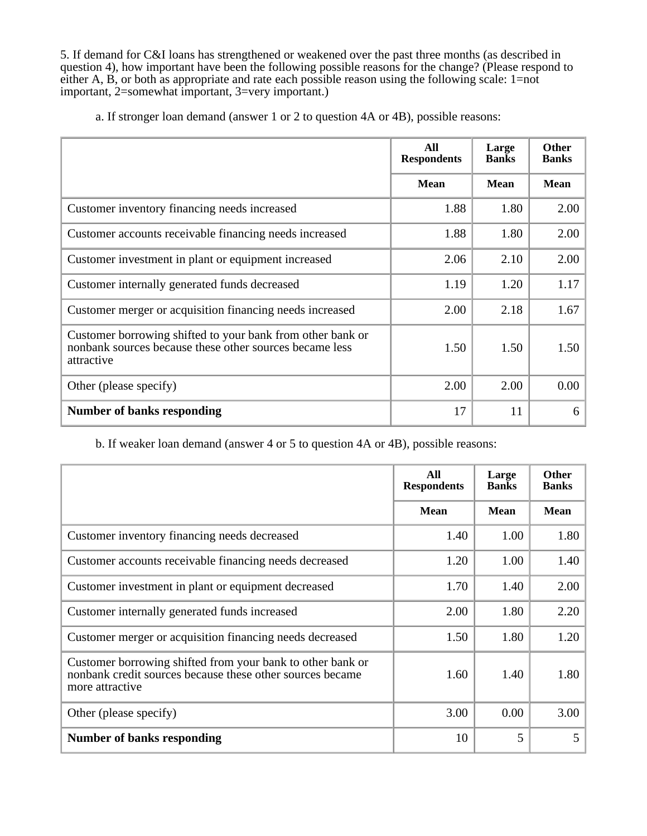5. If demand for C&I loans has strengthened or weakened over the past three months (as described in question 4), how important have been the following possible reasons for the change? (Please respond to either A, B, or both as appropriate and rate each possible reason using the following scale: 1=not important, 2=somewhat important, 3=very important.)

|  |  |  | a. If stronger loan demand (answer 1 or 2 to question 4A or 4B), possible reasons: |
|--|--|--|------------------------------------------------------------------------------------|
|  |  |  |                                                                                    |

|                                                                                                                                     | All<br><b>Respondents</b> | Large<br><b>Banks</b> | Other<br><b>Banks</b> |
|-------------------------------------------------------------------------------------------------------------------------------------|---------------------------|-----------------------|-----------------------|
|                                                                                                                                     | <b>Mean</b>               | <b>Mean</b>           | <b>Mean</b>           |
| Customer inventory financing needs increased                                                                                        | 1.88                      | 1.80                  | 2.00                  |
| Customer accounts receivable financing needs increased                                                                              | 1.88                      | 1.80                  | 2.00                  |
| Customer investment in plant or equipment increased                                                                                 | 2.06                      | 2.10                  | 2.00                  |
| Customer internally generated funds decreased                                                                                       | 1.19                      | 1.20                  | 1.17                  |
| Customer merger or acquisition financing needs increased                                                                            | 2.00                      | 2.18                  | 1.67                  |
| Customer borrowing shifted to your bank from other bank or<br>nonbank sources because these other sources became less<br>attractive | 1.50                      | 1.50                  | 1.50                  |
| Other (please specify)                                                                                                              | 2.00                      | 2.00                  | 0.00                  |
| <b>Number of banks responding</b>                                                                                                   | 17                        | 11                    | 6                     |

## b. If weaker loan demand (answer 4 or 5 to question 4A or 4B), possible reasons:

|                                                                                                                                            | All<br><b>Respondents</b> | Large<br><b>Banks</b> | <b>Other</b><br><b>Banks</b> |
|--------------------------------------------------------------------------------------------------------------------------------------------|---------------------------|-----------------------|------------------------------|
|                                                                                                                                            | <b>Mean</b>               | <b>Mean</b>           | <b>Mean</b>                  |
| Customer inventory financing needs decreased                                                                                               | 1.40                      | 1.00                  | 1.80                         |
| Customer accounts receivable financing needs decreased                                                                                     | 1.20                      | 1.00                  | 1.40                         |
| Customer investment in plant or equipment decreased                                                                                        | 1.70                      | 1.40                  | 2.00                         |
| Customer internally generated funds increased                                                                                              | 2.00                      | 1.80                  | 2.20                         |
| Customer merger or acquisition financing needs decreased                                                                                   | 1.50                      | 1.80                  | 1.20                         |
| Customer borrowing shifted from your bank to other bank or<br>nonbank credit sources because these other sources became<br>more attractive | 1.60                      | 1.40                  | 1.80                         |
| Other (please specify)                                                                                                                     | 3.00                      | 0.00                  | 3.00                         |
| <b>Number of banks responding</b>                                                                                                          | 10                        | 5                     | 5                            |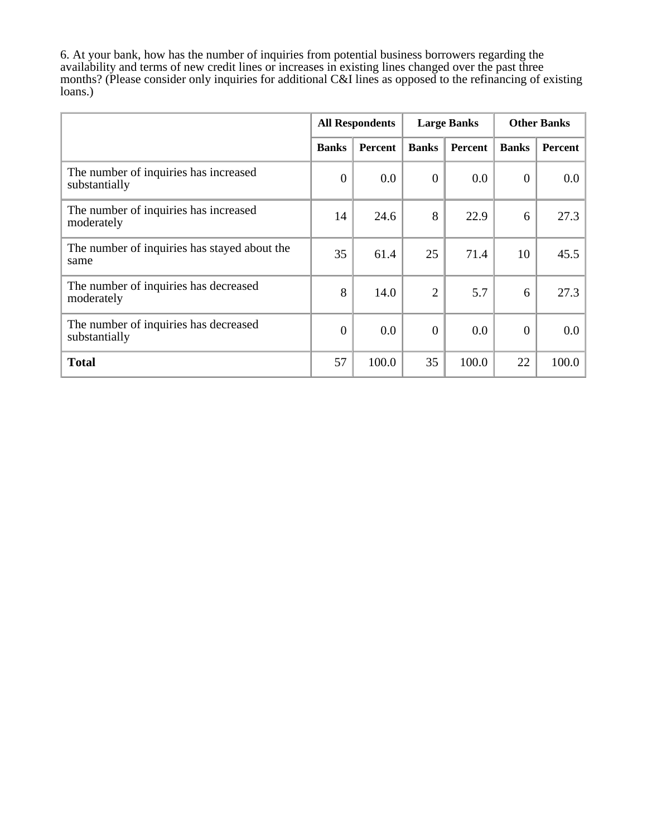6. At your bank, how has the number of inquiries from potential business borrowers regarding the availability and terms of new credit lines or increases in existing lines changed over the past three months? (Please consider only inquiries for additional C&I lines as opposed to the refinancing of existing loans.)

|                                                        | <b>All Respondents</b> |                | <b>Large Banks</b> |                | <b>Other Banks</b> |                |
|--------------------------------------------------------|------------------------|----------------|--------------------|----------------|--------------------|----------------|
|                                                        | <b>Banks</b>           | <b>Percent</b> | <b>Banks</b>       | <b>Percent</b> | <b>Banks</b>       | <b>Percent</b> |
| The number of inquiries has increased<br>substantially | $\boldsymbol{0}$       | 0.0            | $\overline{0}$     | $0.0\,$        | $\boldsymbol{0}$   | 0.0            |
| The number of inquiries has increased<br>moderately    | 14                     | 24.6           | 8                  | 22.9           | 6                  | 27.3           |
| The number of inquiries has stayed about the<br>same   | 35                     | 61.4           | 25                 | 71.4           | 10                 | 45.5           |
| The number of inquiries has decreased<br>moderately    | 8                      | 14.0           | $\overline{2}$     | 5.7            | 6                  | 27.3           |
| The number of inquiries has decreased<br>substantially | $\mathbf{0}$           | 0.0            | $\mathbf{0}$       | 0.0            | $\boldsymbol{0}$   | 0.0            |
| <b>Total</b>                                           | 57                     | 100.0          | 35                 | 100.0          | 22                 | 100.0          |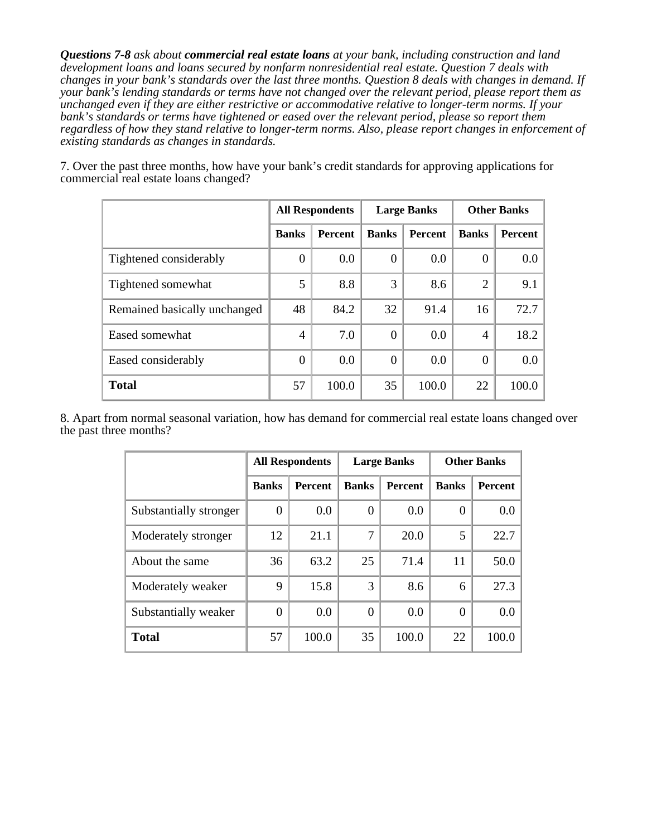*Questions 7-8 ask about commercial real estate loans at your bank, including construction and land development loans and loans secured by nonfarm nonresidential real estate. Question 7 deals with changes in your bank's standards over the last three months. Question 8 deals with changes in demand. If your bank's lending standards or terms have not changed over the relevant period, please report them as unchanged even if they are either restrictive or accommodative relative to longer-term norms. If your bank's standards or terms have tightened or eased over the relevant period, please so report them regardless of how they stand relative to longer-term norms. Also, please report changes in enforcement of existing standards as changes in standards.*

7. Over the past three months, how have your bank's credit standards for approving applications for commercial real estate loans changed?

|                              | <b>All Respondents</b> |         |              | <b>Large Banks</b> | <b>Other Banks</b> |                |  |
|------------------------------|------------------------|---------|--------------|--------------------|--------------------|----------------|--|
|                              | <b>Banks</b>           | Percent | <b>Banks</b> | Percent            | <b>Banks</b>       | <b>Percent</b> |  |
| Tightened considerably       | $\Omega$               | 0.0     | 0            | 0.0                | $\overline{0}$     | 0.0            |  |
| Tightened somewhat           | 5                      | 8.8     | 3            | 8.6                | $\overline{2}$     | 9.1            |  |
| Remained basically unchanged | 48                     | 84.2    | 32           | 91.4               | 16                 | 72.7           |  |
| Eased somewhat               | 4                      | 7.0     | $\Omega$     | 0.0                | $\overline{4}$     | 18.2           |  |
| Eased considerably           | $\Omega$               | 0.0     | $\Omega$     | 0.0                | $\theta$           | 0.0            |  |
| <b>Total</b>                 | 57                     | 100.0   | 35           | 100.0              | 22                 | 100.0          |  |

8. Apart from normal seasonal variation, how has demand for commercial real estate loans changed over the past three months?

|                        | <b>All Respondents</b> |                |              | <b>Large Banks</b> | <b>Other Banks</b> |                |  |
|------------------------|------------------------|----------------|--------------|--------------------|--------------------|----------------|--|
|                        | <b>Banks</b>           | <b>Percent</b> | <b>Banks</b> | <b>Percent</b>     | <b>Banks</b>       | <b>Percent</b> |  |
| Substantially stronger | $\Omega$               | 0.0            | $\theta$     | 0.0                | $\theta$           | 0.0            |  |
| Moderately stronger    | 12                     | 21.1           | 7            | 20.0               | 5                  | 22.7           |  |
| About the same         | 36                     | 63.2           | 25           | 71.4               | 11                 | 50.0           |  |
| Moderately weaker      | 9                      | 15.8           | 3            | 8.6                | 6                  | 27.3           |  |
| Substantially weaker   | 0                      | 0.0            | $\Omega$     | 0.0                | $\Omega$           | 0.0            |  |
| <b>Total</b>           | 57                     | 100.0          | 35           | 100.0              | 22                 | 100.0          |  |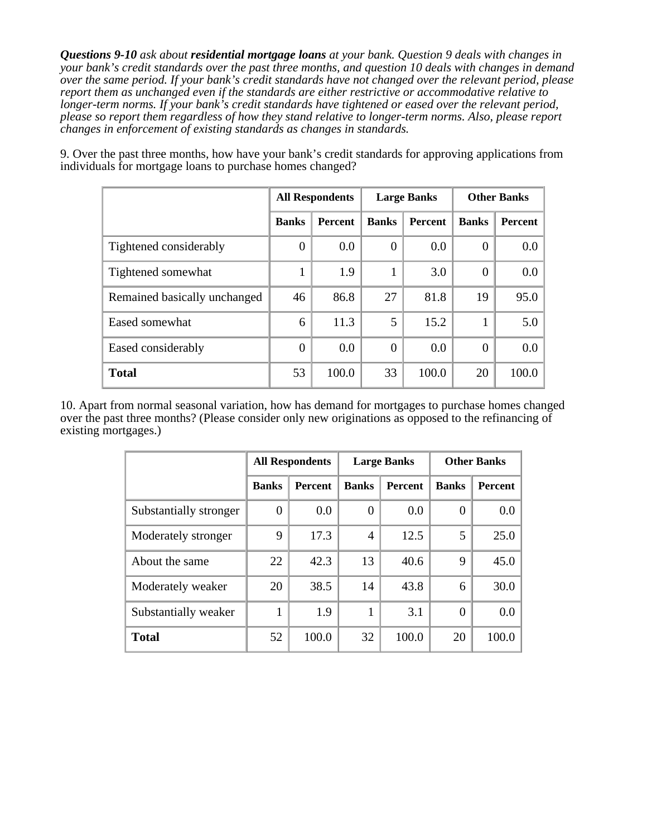*Questions 9-10 ask about residential mortgage loans at your bank. Question 9 deals with changes in your bank's credit standards over the past three months, and question 10 deals with changes in demand over the same period. If your bank's credit standards have not changed over the relevant period, please report them as unchanged even if the standards are either restrictive or accommodative relative to longer-term norms. If your bank's credit standards have tightened or eased over the relevant period, please so report them regardless of how they stand relative to longer-term norms. Also, please report changes in enforcement of existing standards as changes in standards.*

|                              | <b>All Respondents</b> |                |                | <b>Large Banks</b> | <b>Other Banks</b> |         |  |
|------------------------------|------------------------|----------------|----------------|--------------------|--------------------|---------|--|
|                              | <b>Banks</b>           | <b>Percent</b> | <b>Banks</b>   | <b>Percent</b>     | <b>Banks</b>       | Percent |  |
| Tightened considerably       | $\theta$               | 0.0            | $\overline{0}$ | 0.0                | $\overline{0}$     | $0.0\,$ |  |
| Tightened somewhat           |                        | 1.9            |                | 3.0                | $\overline{0}$     | $0.0\,$ |  |
| Remained basically unchanged | 46                     | 86.8           | 27             | 81.8               | 19                 | 95.0    |  |
| Eased somewhat               | 6                      | 11.3           | 5              | 15.2               | 1                  | 5.0     |  |
| Eased considerably           | $\overline{0}$         | 0.0            | $\theta$       | 0.0                | $\Omega$           | $0.0\,$ |  |
| <b>Total</b>                 | 53                     | 100.0          | 33             | 100.0              | 20                 | 100.0   |  |

9. Over the past three months, how have your bank's credit standards for approving applications from individuals for mortgage loans to purchase homes changed?

10. Apart from normal seasonal variation, how has demand for mortgages to purchase homes changed over the past three months? (Please consider only new originations as opposed to the refinancing of existing mortgages.)

|                        | <b>All Respondents</b> |                |              | <b>Large Banks</b> | <b>Other Banks</b> |                  |  |
|------------------------|------------------------|----------------|--------------|--------------------|--------------------|------------------|--|
|                        | <b>Banks</b>           | <b>Percent</b> | <b>Banks</b> | Percent            | <b>Banks</b>       | Percent          |  |
| Substantially stronger | $\Omega$               | 0.0            | $\theta$     | 0.0                | $\overline{0}$     | $0.0\,$          |  |
| Moderately stronger    | 9                      | 17.3           | 4            | 12.5               | 5                  | 25.0             |  |
| About the same         | 22                     | 42.3           | 13           | 40.6               | 9                  | 45.0             |  |
| Moderately weaker      | 20                     | 38.5           | 14           | 43.8               | 6                  | 30.0             |  |
| Substantially weaker   |                        | 1.9            |              | 3.1                | $\Omega$           | 0.0 <sub>1</sub> |  |
| <b>Total</b>           | 52                     | 100.0          | 32           | 100.0              | 20                 | 100.0            |  |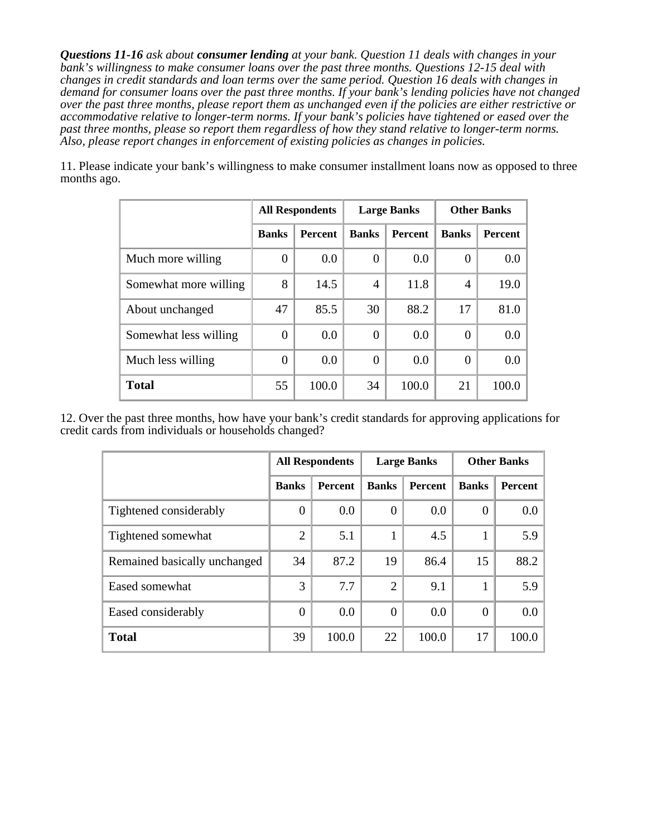*Questions 11-16 ask about consumer lending at your bank. Question 11 deals with changes in your bank's willingness to make consumer loans over the past three months. Questions 12-15 deal with changes in credit standards and loan terms over the same period. Question 16 deals with changes in demand for consumer loans over the past three months. If your bank's lending policies have not changed over the past three months, please report them as unchanged even if the policies are either restrictive or accommodative relative to longer-term norms. If your bank's policies have tightened or eased over the past three months, please so report them regardless of how they stand relative to longer-term norms. Also, please report changes in enforcement of existing policies as changes in policies.*

11. Please indicate your bank's willingness to make consumer installment loans now as opposed to three months ago.

|                       |                | <b>All Respondents</b> |                   | <b>Large Banks</b> | <b>Other Banks</b> |                  |  |
|-----------------------|----------------|------------------------|-------------------|--------------------|--------------------|------------------|--|
|                       | <b>Banks</b>   | <b>Percent</b>         | <b>Banks</b>      | <b>Percent</b>     | <b>Banks</b>       | Percent          |  |
| Much more willing     | 0              | 0.0                    | $\mathbf{\Omega}$ | 0.0                | $\theta$           | $0.0\,$          |  |
| Somewhat more willing | 8              | 14.5                   | $\overline{4}$    | 11.8               | $\overline{4}$     | 19.0             |  |
| About unchanged       | 47             | 85.5                   | 30                | 88.2               | 17                 | 81.0             |  |
| Somewhat less willing | 0              | 0.0                    | $\left( \right)$  | 0.0                | $\Omega$           | 0.0              |  |
| Much less willing     | $\overline{0}$ | 0.0                    | $\Omega$          | 0.0                | $\Omega$           | 0.0 <sub>1</sub> |  |
| <b>Total</b>          | 55             | 100.0                  | 34                | 100.0              | 21                 | 100.0            |  |

12. Over the past three months, how have your bank's credit standards for approving applications for credit cards from individuals or households changed?

|                              | <b>All Respondents</b> |         |                | <b>Large Banks</b> | <b>Other Banks</b> |         |  |
|------------------------------|------------------------|---------|----------------|--------------------|--------------------|---------|--|
|                              | <b>Banks</b>           | Percent | <b>Banks</b>   | <b>Percent</b>     | <b>Banks</b>       | Percent |  |
| Tightened considerably       | $\Omega$               | 0.0     | 0              | 0.0                | $\theta$           | 0.0     |  |
| Tightened somewhat           | $\overline{2}$         | 5.1     | 1              | 4.5                | 1                  | 5.9     |  |
| Remained basically unchanged | 34                     | 87.2    | 19             | 86.4               | 15                 | 88.2    |  |
| Eased somewhat               | 3                      | 7.7     | $\overline{2}$ | 9.1                |                    | 5.9     |  |
| Eased considerably           | $\Omega$               | 0.0     | $\theta$       | 0.0                | $\overline{0}$     | 0.0     |  |
| <b>Total</b>                 | 39                     | 100.0   | 22             | 100.0              | 17                 | 100.0   |  |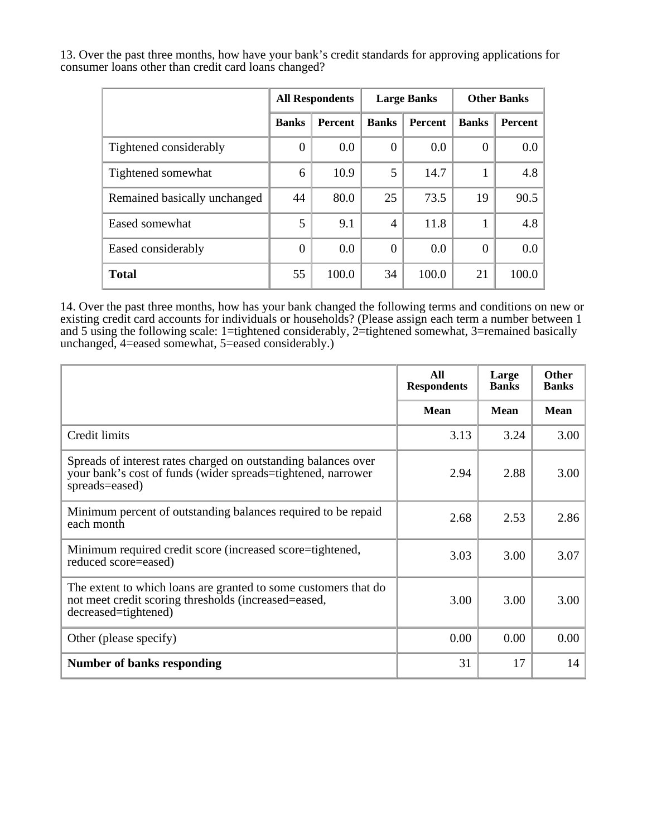13. Over the past three months, how have your bank's credit standards for approving applications for consumer loans other than credit card loans changed?

|                              | <b>All Respondents</b> |                |                | <b>Large Banks</b> | <b>Other Banks</b> |         |  |
|------------------------------|------------------------|----------------|----------------|--------------------|--------------------|---------|--|
|                              | <b>Banks</b>           | <b>Percent</b> | <b>Banks</b>   | <b>Percent</b>     | <b>Banks</b>       | Percent |  |
| Tightened considerably       | $\overline{0}$         | 0.0            | $\Omega$       | 0.0                | $\theta$           | 0.0     |  |
| Tightened somewhat           | 6                      | 10.9           | 5              | 14.7               |                    | 4.8     |  |
| Remained basically unchanged | 44                     | 80.0           | 25             | 73.5               | 19                 | 90.5    |  |
| Eased somewhat               | 5                      | 9.1            | $\overline{4}$ | 11.8               |                    | 4.8     |  |
| Eased considerably           | $\theta$               | 0.0            | $\Omega$       | 0.0                | $\theta$           | 0.0     |  |
| <b>Total</b>                 | 55                     | 100.0          | 34             | 100.0              | 21                 | 100.0   |  |

14. Over the past three months, how has your bank changed the following terms and conditions on new or existing credit card accounts for individuals or households? (Please assign each term a number between 1 and 5 using the following scale: 1=tightened considerably, 2=tightened somewhat, 3=remained basically unchanged, 4=eased somewhat, 5=eased considerably.)

|                                                                                                                                                  | All<br><b>Respondents</b> | Large<br><b>Banks</b> | <b>Other</b><br><b>Banks</b> |
|--------------------------------------------------------------------------------------------------------------------------------------------------|---------------------------|-----------------------|------------------------------|
|                                                                                                                                                  | <b>Mean</b>               | <b>Mean</b>           | <b>Mean</b>                  |
| Credit limits                                                                                                                                    | 3.13                      | 3.24                  | 3.00                         |
| Spreads of interest rates charged on outstanding balances over<br>your bank's cost of funds (wider spreads=tightened, narrower<br>spreads=eased) | 2.94                      | 2.88                  | 3.00                         |
| Minimum percent of outstanding balances required to be repaid<br>each month                                                                      | 2.68                      | 2.53                  | 2.86                         |
| Minimum required credit score (increased score=tightened,<br>reduced score=eased)                                                                | 3.03                      | 3.00                  | 3.07                         |
| The extent to which loans are granted to some customers that do<br>not meet credit scoring thresholds (increased=eased,<br>decreased=tightened)  | 3.00                      | 3.00                  | 3.00                         |
| Other (please specify)                                                                                                                           | 0.00                      | 0.00                  | 0.00                         |
| <b>Number of banks responding</b>                                                                                                                | 31                        | 17                    | 14                           |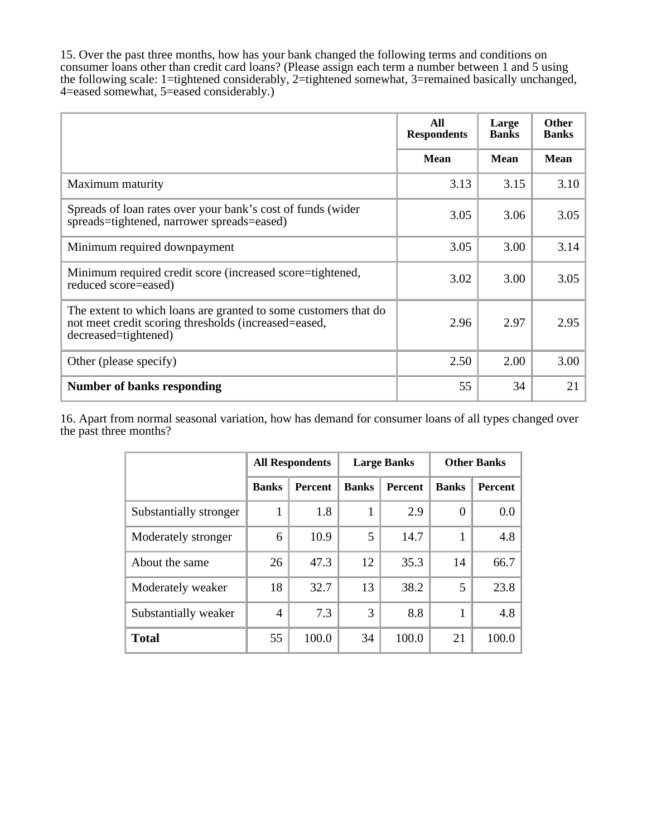15. Over the past three months, how has your bank changed the following terms and conditions on consumer loans other than credit card loans? (Please assign each term a number between 1 and 5 using the following scale: 1=tightened considerably, 2=tightened somewhat, 3=remained basically unchanged, 4=eased somewhat, 5=eased considerably.)

|                                                                                                                                                 | All<br><b>Respondents</b> | Large<br><b>Banks</b> | <b>Other</b><br><b>Banks</b> |
|-------------------------------------------------------------------------------------------------------------------------------------------------|---------------------------|-----------------------|------------------------------|
|                                                                                                                                                 | <b>Mean</b>               | <b>Mean</b>           | <b>Mean</b>                  |
| Maximum maturity                                                                                                                                | 3.13                      | 3.15                  | 3.10                         |
| Spreads of loan rates over your bank's cost of funds (wider<br>spreads=tightened, narrower spreads=eased)                                       | 3.05                      | 3.06                  | 3.05                         |
| Minimum required downpayment                                                                                                                    | 3.05                      | 3.00                  | 3.14                         |
| Minimum required credit score (increased score=tightened,<br>reduced score=eased)                                                               | 3.02                      | 3.00                  | 3.05                         |
| The extent to which loans are granted to some customers that do<br>not meet credit scoring thresholds (increased=eased,<br>decreased=tightened) | 2.96                      | 2.97                  | 2.95                         |
| Other (please specify)                                                                                                                          | 2.50                      | 2.00                  | 3.00                         |
| <b>Number of banks responding</b>                                                                                                               | 55                        | 34                    | 21                           |

16. Apart from normal seasonal variation, how has demand for consumer loans of all types changed over the past three months?

|                        | <b>All Respondents</b> |                |              | <b>Large Banks</b> | <b>Other Banks</b> |                |  |
|------------------------|------------------------|----------------|--------------|--------------------|--------------------|----------------|--|
|                        | <b>Banks</b>           | <b>Percent</b> | <b>Banks</b> | <b>Percent</b>     | <b>Banks</b>       | <b>Percent</b> |  |
| Substantially stronger | 1                      | 1.8            | 1            | 2.9                | $\theta$           | 0.0            |  |
| Moderately stronger    | 6                      | 10.9           | 5            | 14.7               | 1                  | 4.8            |  |
| About the same         | 26                     | 47.3           | 12           | 35.3               | 14                 | 66.7           |  |
| Moderately weaker      | 18                     | 32.7           | 13           | 38.2               | 5                  | 23.8           |  |
| Substantially weaker   | 4                      | 7.3            | 3            | 8.8                |                    | 4.8            |  |
| <b>Total</b>           | 55                     | 100.0          | 34           | 100.0              | 21                 | 100.0          |  |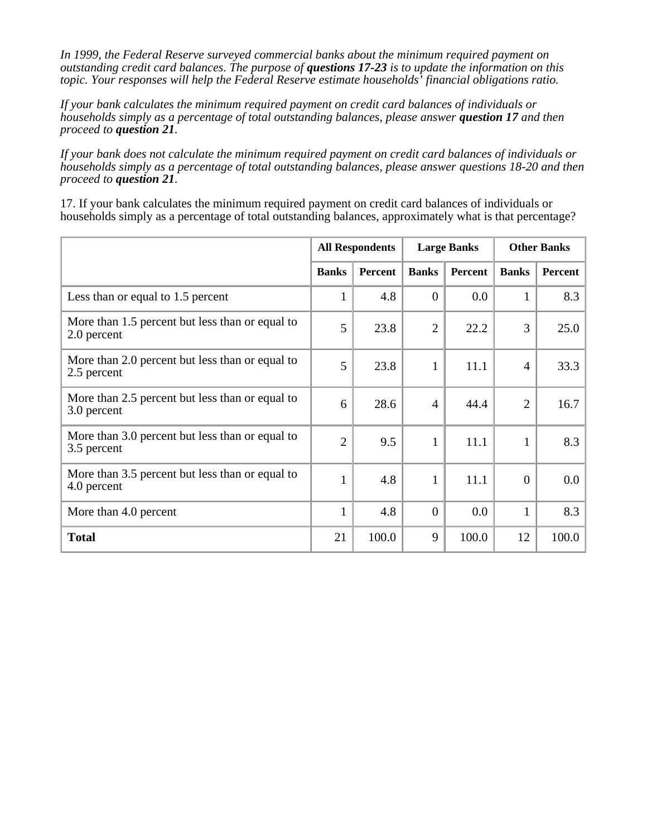*In 1999, the Federal Reserve surveyed commercial banks about the minimum required payment on outstanding credit card balances. The purpose of questions 17-23 is to update the information on this topic. Your responses will help the Federal Reserve estimate households' financial obligations ratio.*

*If your bank calculates the minimum required payment on credit card balances of individuals or households simply as a percentage of total outstanding balances, please answer question 17 and then proceed to question 21.*

*If your bank does not calculate the minimum required payment on credit card balances of individuals or households simply as a percentage of total outstanding balances, please answer questions 18-20 and then proceed to question 21.*

17. If your bank calculates the minimum required payment on credit card balances of individuals or households simply as a percentage of total outstanding balances, approximately what is that percentage?

|                                                                | <b>All Respondents</b> |         |                | <b>Large Banks</b> | <b>Other Banks</b> |         |
|----------------------------------------------------------------|------------------------|---------|----------------|--------------------|--------------------|---------|
|                                                                | <b>Banks</b>           | Percent | <b>Banks</b>   | Percent            | <b>Banks</b>       | Percent |
| Less than or equal to 1.5 percent                              | $\mathbf{1}$           | 4.8     | $\theta$       | 0.0                | 1                  | 8.3     |
| More than 1.5 percent but less than or equal to<br>2.0 percent | 5                      | 23.8    | $\overline{2}$ | 22.2               | 3                  | 25.0    |
| More than 2.0 percent but less than or equal to<br>2.5 percent | 5                      | 23.8    | 1              | 11.1               | $\overline{4}$     | 33.3    |
| More than 2.5 percent but less than or equal to<br>3.0 percent | 6                      | 28.6    | $\overline{4}$ | 44.4               | $\overline{2}$     | 16.7    |
| More than 3.0 percent but less than or equal to<br>3.5 percent | $\overline{2}$         | 9.5     | $\mathbf{1}$   | 11.1               | $\mathbf{1}$       | 8.3     |
| More than 3.5 percent but less than or equal to<br>4.0 percent | $\mathbf{1}$           | 4.8     | $\mathbf{1}$   | 11.1               | $\boldsymbol{0}$   | 0.0     |
| More than 4.0 percent                                          | $\mathbf{1}$           | 4.8     | $\theta$       | 0.0                | $\mathbf{1}$       | 8.3     |
| <b>Total</b>                                                   | 21                     | 100.0   | 9              | 100.0              | 12                 | 100.0   |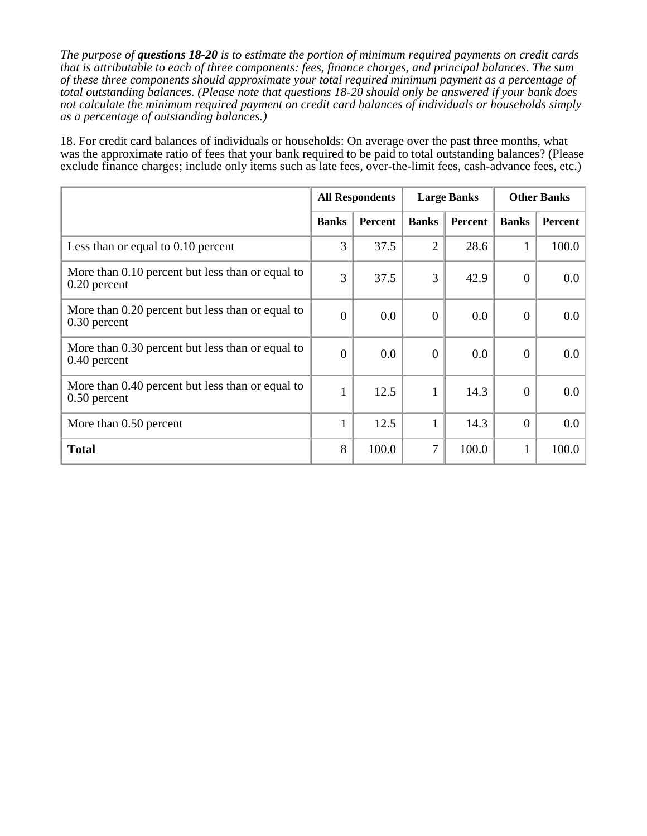*The purpose of questions 18-20 is to estimate the portion of minimum required payments on credit cards that is attributable to each of three components: fees, finance charges, and principal balances. The sum of these three components should approximate your total required minimum payment as a percentage of total outstanding balances. (Please note that questions 18-20 should only be answered if your bank does not calculate the minimum required payment on credit card balances of individuals or households simply as a percentage of outstanding balances.)*

18. For credit card balances of individuals or households: On average over the past three months, what was the approximate ratio of fees that your bank required to be paid to total outstanding balances? (Please exclude finance charges; include only items such as late fees, over-the-limit fees, cash-advance fees, etc.)

|                                                                    | <b>All Respondents</b> |                |                | <b>Large Banks</b> | <b>Other Banks</b> |         |
|--------------------------------------------------------------------|------------------------|----------------|----------------|--------------------|--------------------|---------|
|                                                                    | <b>Banks</b>           | <b>Percent</b> | <b>Banks</b>   | Percent            | <b>Banks</b>       | Percent |
| Less than or equal to 0.10 percent                                 | 3                      | 37.5           | $\overline{2}$ | 28.6               | $\mathbf{1}$       | 100.0   |
| More than 0.10 percent but less than or equal to<br>$0.20$ percent | 3                      | 37.5           | 3              | 42.9               | $\boldsymbol{0}$   | 0.0     |
| More than 0.20 percent but less than or equal to<br>$0.30$ percent | $\mathbf{0}$           | 0.0            | $\overline{0}$ | 0.0                | $\boldsymbol{0}$   | 0.0     |
| More than 0.30 percent but less than or equal to<br>$0.40$ percent | $\mathbf{0}$           | 0.0            | $\overline{0}$ | 0.0                | $\boldsymbol{0}$   | 0.0     |
| More than 0.40 percent but less than or equal to<br>$0.50$ percent | $\mathbf{1}$           | 12.5           | $\mathbf{1}$   | 14.3               | $\boldsymbol{0}$   | 0.0     |
| More than 0.50 percent                                             | $\mathbf{1}$           | 12.5           | 1              | 14.3               | $\overline{0}$     | 0.0     |
| <b>Total</b>                                                       | 8                      | 100.0          | 7              | 100.0              | $\mathbf{1}$       | 100.0   |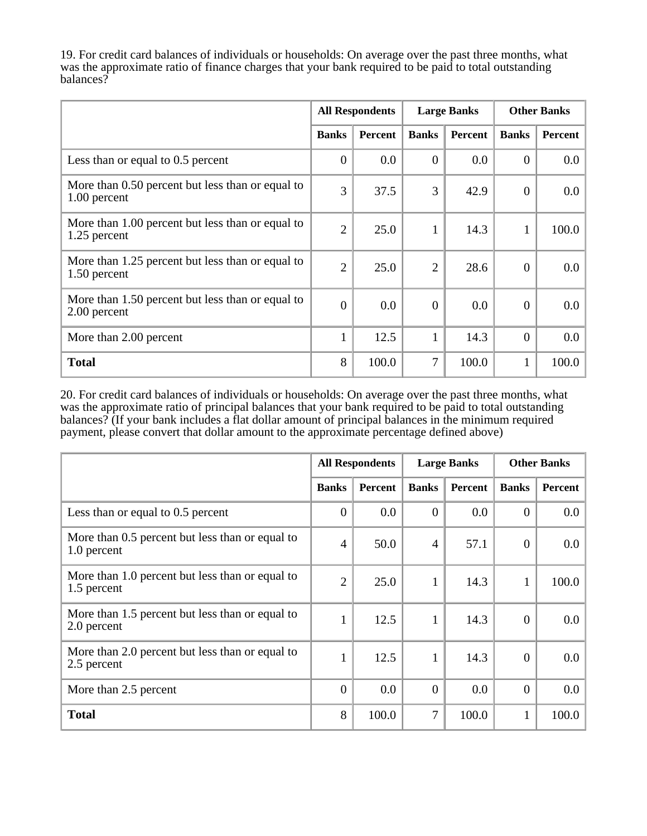19. For credit card balances of individuals or households: On average over the past three months, what was the approximate ratio of finance charges that your bank required to be paid to total outstanding balances?

|                                                                  | <b>All Respondents</b> |                | <b>Large Banks</b> |         | <b>Other Banks</b> |         |
|------------------------------------------------------------------|------------------------|----------------|--------------------|---------|--------------------|---------|
|                                                                  | <b>Banks</b>           | <b>Percent</b> | <b>Banks</b>       | Percent | <b>Banks</b>       | Percent |
| Less than or equal to 0.5 percent                                | $\boldsymbol{0}$       | 0.0            | $\theta$           | 0.0     | $\theta$           | 0.0     |
| More than 0.50 percent but less than or equal to<br>1.00 percent | 3                      | 37.5           | 3                  | 42.9    | $\mathbf{0}$       | 0.0     |
| More than 1.00 percent but less than or equal to<br>1.25 percent | $\overline{2}$         | 25.0           |                    | 14.3    | $\mathbf{1}$       | 100.0   |
| More than 1.25 percent but less than or equal to<br>1.50 percent | $\overline{2}$         | 25.0           | $\overline{2}$     | 28.6    | $\mathbf{0}$       | 0.0     |
| More than 1.50 percent but less than or equal to<br>2.00 percent | $\mathbf{0}$           | 0.0            | $\overline{0}$     | 0.0     | $\mathbf{0}$       | 0.0     |
| More than 2.00 percent                                           | $\mathbf{1}$           | 12.5           | 1                  | 14.3    | $\overline{0}$     | 0.0     |
| <b>Total</b>                                                     | 8                      | 100.0          | 7                  | 100.0   | $\mathbf{1}$       | 100.0   |

20. For credit card balances of individuals or households: On average over the past three months, what was the approximate ratio of principal balances that your bank required to be paid to total outstanding balances? (If your bank includes a flat dollar amount of principal balances in the minimum required payment, please convert that dollar amount to the approximate percentage defined above)

|                                                                | <b>All Respondents</b> |                | <b>Large Banks</b> |         | <b>Other Banks</b> |         |
|----------------------------------------------------------------|------------------------|----------------|--------------------|---------|--------------------|---------|
|                                                                | <b>Banks</b>           | <b>Percent</b> | <b>Banks</b>       | Percent | <b>Banks</b>       | Percent |
| Less than or equal to 0.5 percent                              | $\boldsymbol{0}$       | 0.0            | $\Omega$           | 0.0     | $\overline{0}$     | 0.0     |
| More than 0.5 percent but less than or equal to<br>1.0 percent | $\overline{4}$         | 50.0           | $\overline{4}$     | 57.1    | $\boldsymbol{0}$   | 0.0     |
| More than 1.0 percent but less than or equal to<br>1.5 percent | $\overline{2}$         | 25.0           |                    | 14.3    | $\mathbf{1}$       | 100.0   |
| More than 1.5 percent but less than or equal to<br>2.0 percent | $\mathbf{1}$           | 12.5           | 1                  | 14.3    | $\overline{0}$     | $0.0\,$ |
| More than 2.0 percent but less than or equal to<br>2.5 percent | $\mathbf{1}$           | 12.5           | $\mathbf{1}$       | 14.3    | $\overline{0}$     | 0.0     |
| More than 2.5 percent                                          | $\theta$               | 0.0            | $\theta$           | 0.0     | $\overline{0}$     | 0.0     |
| <b>Total</b>                                                   | 8                      | 100.0          | 7                  | 100.0   | $\mathbf{1}$       | 100.0   |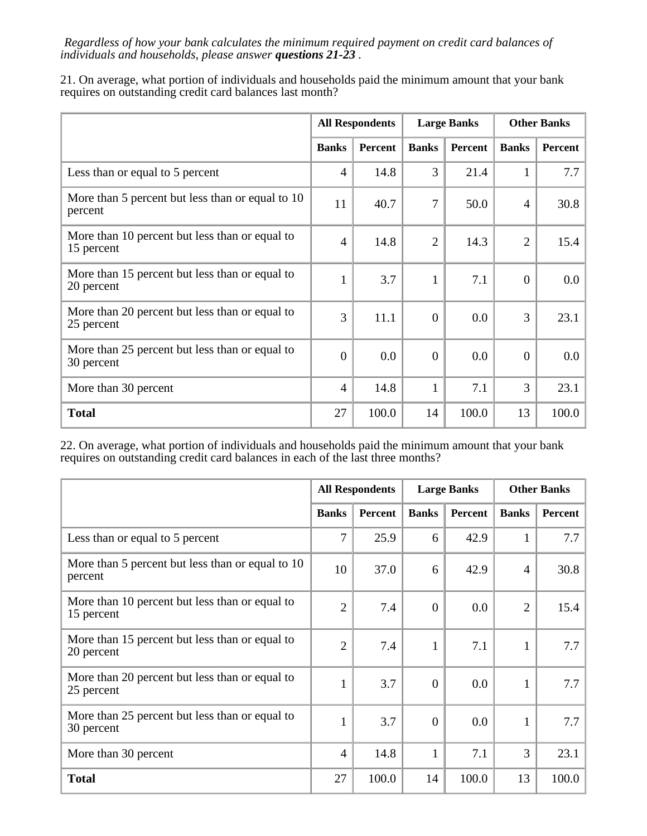*Regardless of how your bank calculates the minimum required payment on credit card balances of individuals and households, please answer questions 21-23 .*

21. On average, what portion of individuals and households paid the minimum amount that your bank requires on outstanding credit card balances last month?

|                                                              | <b>All Respondents</b> |         | <b>Large Banks</b> |                | <b>Other Banks</b> |         |
|--------------------------------------------------------------|------------------------|---------|--------------------|----------------|--------------------|---------|
|                                                              | <b>Banks</b>           | Percent | <b>Banks</b>       | <b>Percent</b> | <b>Banks</b>       | Percent |
| Less than or equal to 5 percent                              | $\overline{4}$         | 14.8    | 3                  | 21.4           | $\mathbf{1}$       | 7.7     |
| More than 5 percent but less than or equal to 10<br>percent  | 11                     | 40.7    | 7                  | 50.0           | $\overline{4}$     | 30.8    |
| More than 10 percent but less than or equal to<br>15 percent | $\overline{4}$         | 14.8    | $\overline{2}$     | 14.3           | $\overline{2}$     | 15.4    |
| More than 15 percent but less than or equal to<br>20 percent | $\mathbf{1}$           | 3.7     | 1                  | 7.1            | $\overline{0}$     | 0.0     |
| More than 20 percent but less than or equal to<br>25 percent | 3                      | 11.1    | $\overline{0}$     | 0.0            | 3                  | 23.1    |
| More than 25 percent but less than or equal to<br>30 percent | $\overline{0}$         | 0.0     | $\overline{0}$     | 0.0            | $\mathbf{0}$       | 0.0     |
| More than 30 percent                                         | $\overline{4}$         | 14.8    | $\mathbf{1}$       | 7.1            | 3                  | 23.1    |
| <b>Total</b>                                                 | 27                     | 100.0   | 14                 | 100.0          | 13                 | 100.0   |

22. On average, what portion of individuals and households paid the minimum amount that your bank requires on outstanding credit card balances in each of the last three months?

|                                                              | <b>All Respondents</b> |         | <b>Large Banks</b> |         | <b>Other Banks</b> |         |
|--------------------------------------------------------------|------------------------|---------|--------------------|---------|--------------------|---------|
|                                                              | <b>Banks</b>           | Percent | <b>Banks</b>       | Percent | <b>Banks</b>       | Percent |
| Less than or equal to 5 percent                              | $\overline{7}$         | 25.9    | 6                  | 42.9    | 1                  | 7.7     |
| More than 5 percent but less than or equal to 10<br>percent  | 10                     | 37.0    | 6                  | 42.9    | $\overline{4}$     | 30.8    |
| More than 10 percent but less than or equal to<br>15 percent | $\overline{2}$         | 7.4     | $\theta$           | 0.0     | $\overline{2}$     | 15.4    |
| More than 15 percent but less than or equal to<br>20 percent | $\overline{2}$         | 7.4     | $\mathbf{1}$       | 7.1     | $\mathbf{1}$       | 7.7     |
| More than 20 percent but less than or equal to<br>25 percent | $\mathbf{1}$           | 3.7     | $\Omega$           | 0.0     | $\mathbf{1}$       | 7.7     |
| More than 25 percent but less than or equal to<br>30 percent | $\mathbf{1}$           | 3.7     | $\Omega$           | 0.0     | $\mathbf{1}$       | 7.7     |
| More than 30 percent                                         | $\overline{4}$         | 14.8    | 1                  | 7.1     | 3                  | 23.1    |
| <b>Total</b>                                                 | 27                     | 100.0   | 14                 | 100.0   | 13                 | 100.0   |